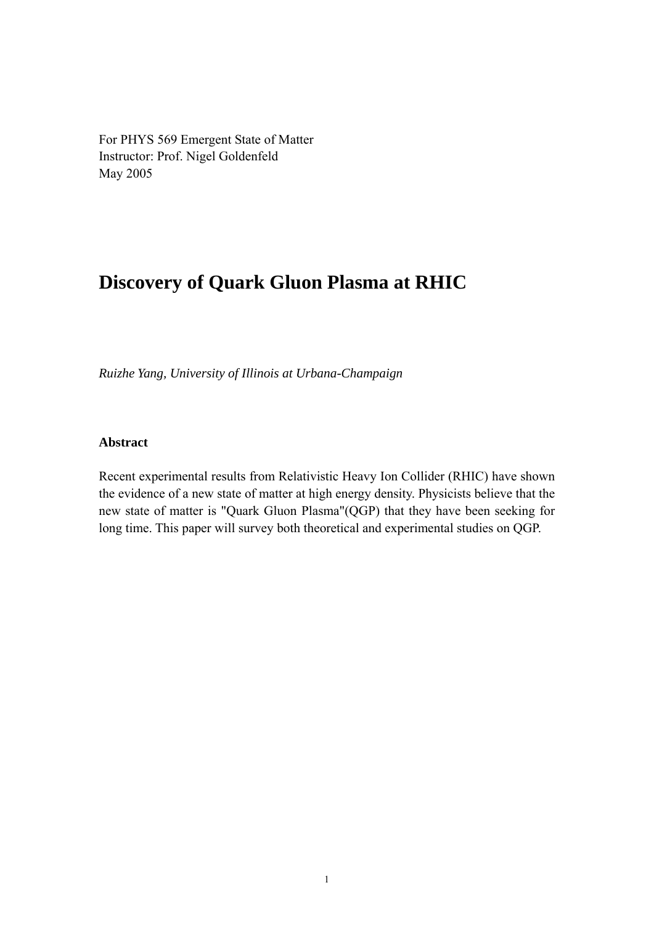For PHYS 569 Emergent State of Matter Instructor: Prof. Nigel Goldenfeld May 2005

# **Discovery of Quark Gluon Plasma at RHIC**

*Ruizhe Yang, University of Illinois at Urbana-Champaign* 

### **Abstract**

Recent experimental results from Relativistic Heavy Ion Collider (RHIC) have shown the evidence of a new state of matter at high energy density. Physicists believe that the new state of matter is "Quark Gluon Plasma"(QGP) that they have been seeking for long time. This paper will survey both theoretical and experimental studies on QGP.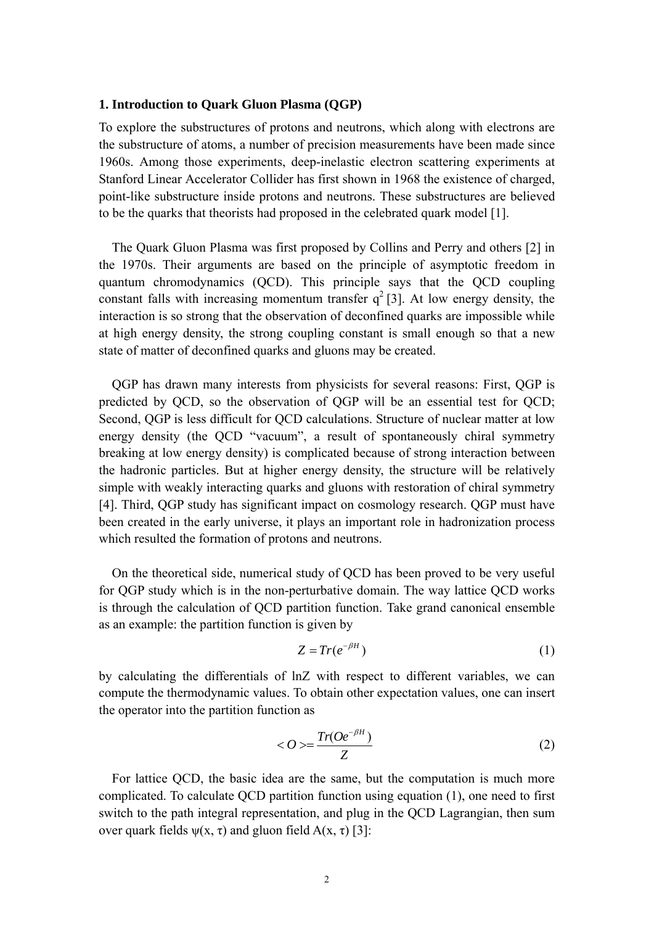#### **1. Introduction to Quark Gluon Plasma (QGP)**

To explore the substructures of protons and neutrons, which along with electrons are the substructure of atoms, a number of precision measurements have been made since 1960s. Among those experiments, deep-inelastic electron scattering experiments at Stanford Linear Accelerator Collider has first shown in 1968 the existence of charged, point-like substructure inside protons and neutrons. These substructures are believed to be the quarks that theorists had proposed in the celebrated quark model [1].

The Quark Gluon Plasma was first proposed by Collins and Perry and others [2] in the 1970s. Their arguments are based on the principle of asymptotic freedom in quantum chromodynamics (QCD). This principle says that the QCD coupling constant falls with increasing momentum transfer  $q^2$  [3]. At low energy density, the interaction is so strong that the observation of deconfined quarks are impossible while at high energy density, the strong coupling constant is small enough so that a new state of matter of deconfined quarks and gluons may be created.

QGP has drawn many interests from physicists for several reasons: First, QGP is predicted by QCD, so the observation of QGP will be an essential test for QCD; Second, QGP is less difficult for QCD calculations. Structure of nuclear matter at low energy density (the QCD "vacuum", a result of spontaneously chiral symmetry breaking at low energy density) is complicated because of strong interaction between the hadronic particles. But at higher energy density, the structure will be relatively simple with weakly interacting quarks and gluons with restoration of chiral symmetry [4]. Third, QGP study has significant impact on cosmology research. QGP must have been created in the early universe, it plays an important role in hadronization process which resulted the formation of protons and neutrons.

On the theoretical side, numerical study of QCD has been proved to be very useful for QGP study which is in the non-perturbative domain. The way lattice QCD works is through the calculation of QCD partition function. Take grand canonical ensemble as an example: the partition function is given by

$$
Z = Tr(e^{-\beta H})
$$
 (1)

by calculating the differentials of lnZ with respect to different variables, we can compute the thermodynamic values. To obtain other expectation values, one can insert the operator into the partition function as

$$
\langle O \rangle = \frac{Tr(Oe^{-\beta H})}{Z} \tag{2}
$$

For lattice QCD, the basic idea are the same, but the computation is much more complicated. To calculate QCD partition function using equation (1), one need to first switch to the path integral representation, and plug in the QCD Lagrangian, then sum over quark fields  $ψ(x, τ)$  and gluon field  $A(x, τ)$  [3]: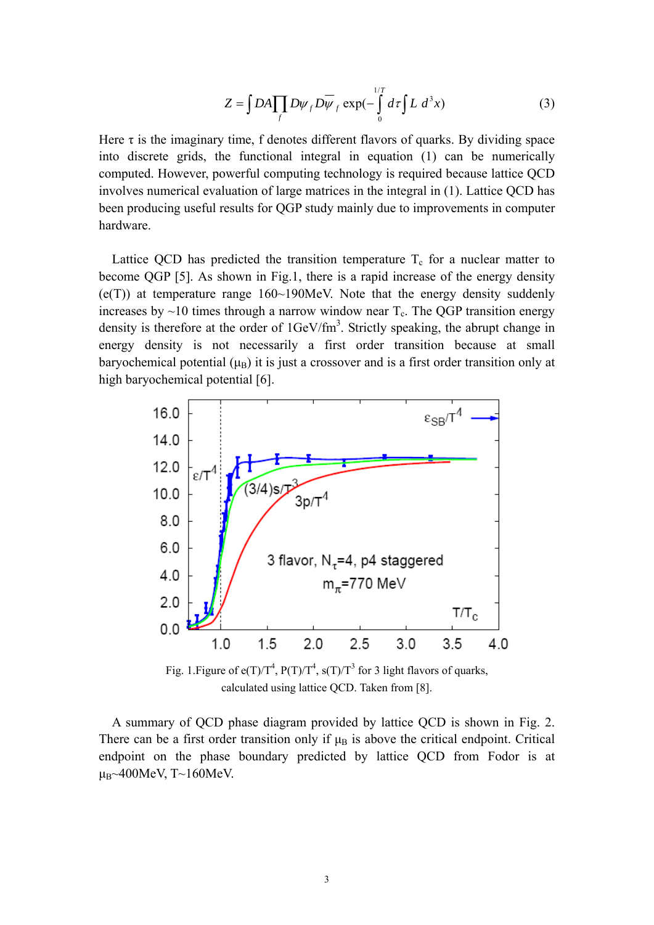$$
Z = \int DA \prod_f D\psi_f D\overline{\psi}_f \exp(-\int_0^{1/T} d\tau \int L d^3x)
$$
 (3)

Here  $\tau$  is the imaginary time, f denotes different flavors of quarks. By dividing space into discrete grids, the functional integral in equation (1) can be numerically computed. However, powerful computing technology is required because lattice QCD involves numerical evaluation of large matrices in the integral in (1). Lattice QCD has been producing useful results for QGP study mainly due to improvements in computer hardware.

Lattice QCD has predicted the transition temperature  $T_c$  for a nuclear matter to become QGP [5]. As shown in Fig.1, there is a rapid increase of the energy density  $(e(T))$  at temperature range 160~190MeV. Note that the energy density suddenly increases by  $\sim$ 10 times through a narrow window near  $T_c$ . The QGP transition energy density is therefore at the order of  $1 \text{GeV}/\text{fm}^3$ . Strictly speaking, the abrupt change in energy density is not necessarily a first order transition because at small baryochemical potential  $(\mu_B)$  it is just a crossover and is a first order transition only at high baryochemical potential [6].



Fig. 1. Figure of  $e(T)/T^4$ ,  $P(T)/T^4$ ,  $s(T)/T^3$  for 3 light flavors of quarks, calculated using lattice QCD. Taken from [8].

A summary of QCD phase diagram provided by lattice QCD is shown in Fig. 2. There can be a first order transition only if  $\mu_B$  is above the critical endpoint. Critical endpoint on the phase boundary predicted by lattice QCD from Fodor is at μ $B~400$ MeV, T~160MeV.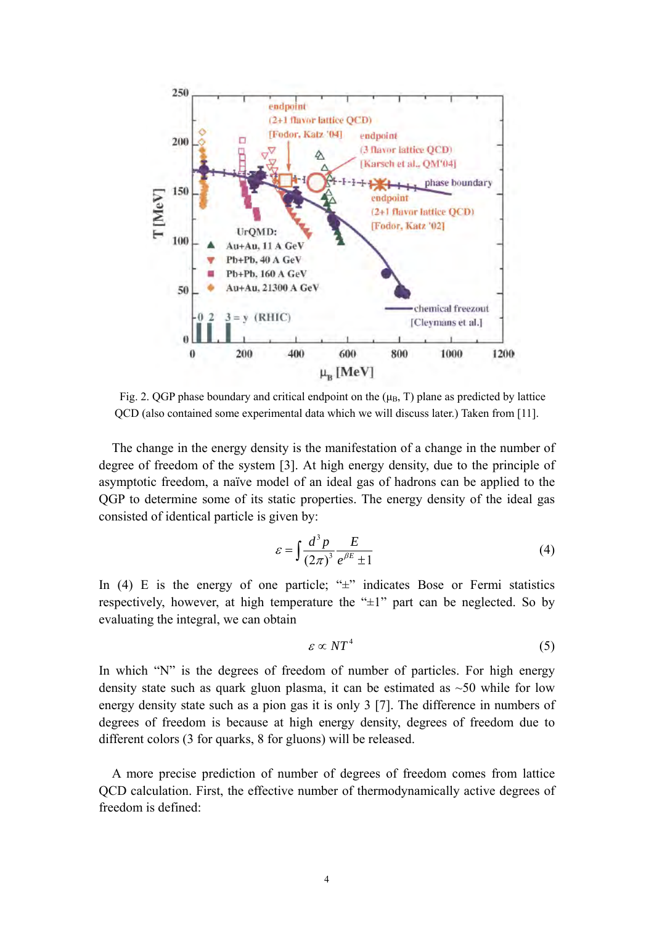

Fig. 2. QGP phase boundary and critical endpoint on the  $(\mu_B, T)$  plane as predicted by lattice QCD (also contained some experimental data which we will discuss later.) Taken from [11].

The change in the energy density is the manifestation of a change in the number of degree of freedom of the system [3]. At high energy density, due to the principle of asymptotic freedom, a naïve model of an ideal gas of hadrons can be applied to the QGP to determine some of its static properties. The energy density of the ideal gas consisted of identical particle is given by:

$$
\varepsilon = \int \frac{d^3 p}{(2\pi)^3} \frac{E}{e^{\beta E} \pm 1} \tag{4}
$$

In (4) E is the energy of one particle; " $\pm$ " indicates Bose or Fermi statistics respectively, however, at high temperature the " $\pm 1$ " part can be neglected. So by evaluating the integral, we can obtain

$$
\varepsilon \propto N T^4 \tag{5}
$$

In which "N" is the degrees of freedom of number of particles. For high energy density state such as quark gluon plasma, it can be estimated as  $\sim$ 50 while for low energy density state such as a pion gas it is only 3 [7]. The difference in numbers of degrees of freedom is because at high energy density, degrees of freedom due to different colors (3 for quarks, 8 for gluons) will be released.

A more precise prediction of number of degrees of freedom comes from lattice QCD calculation. First, the effective number of thermodynamically active degrees of freedom is defined: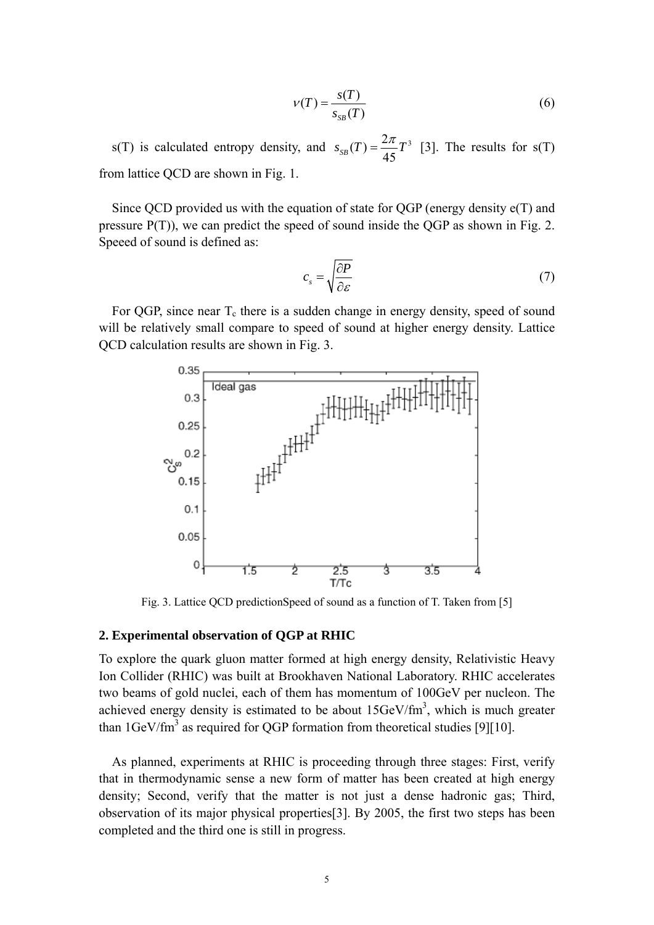$$
\nu(T) = \frac{s(T)}{s_{SB}(T)}\tag{6}
$$

s(T) is calculated entropy density, and  $s_{SB}(T) = \frac{2\pi}{45}T^3$  [3]. The results for s(T) from lattice QCD are shown in Fig. 1.

Since QCD provided us with the equation of state for QGP (energy density e(T) and pressure P(T)), we can predict the speed of sound inside the QGP as shown in Fig. 2. Speeed of sound is defined as:

$$
c_s = \sqrt{\frac{\partial P}{\partial \varepsilon}}\tag{7}
$$

For QGP, since near  $T_c$  there is a sudden change in energy density, speed of sound will be relatively small compare to speed of sound at higher energy density. Lattice QCD calculation results are shown in Fig. 3.



Fig. 3. Lattice QCD predictionSpeed of sound as a function of T. Taken from [5]

#### **2. Experimental observation of QGP at RHIC**

To explore the quark gluon matter formed at high energy density, Relativistic Heavy Ion Collider (RHIC) was built at Brookhaven National Laboratory. RHIC accelerates two beams of gold nuclei, each of them has momentum of 100GeV per nucleon. The achieved energy density is estimated to be about  $15 \text{GeV}/\text{fm}^3$ , which is much greater than  $1 \text{GeV}/\text{fm}^3$  as required for QGP formation from theoretical studies [9][10].

As planned, experiments at RHIC is proceeding through three stages: First, verify that in thermodynamic sense a new form of matter has been created at high energy density; Second, verify that the matter is not just a dense hadronic gas; Third, observation of its major physical properties[3]. By 2005, the first two steps has been completed and the third one is still in progress.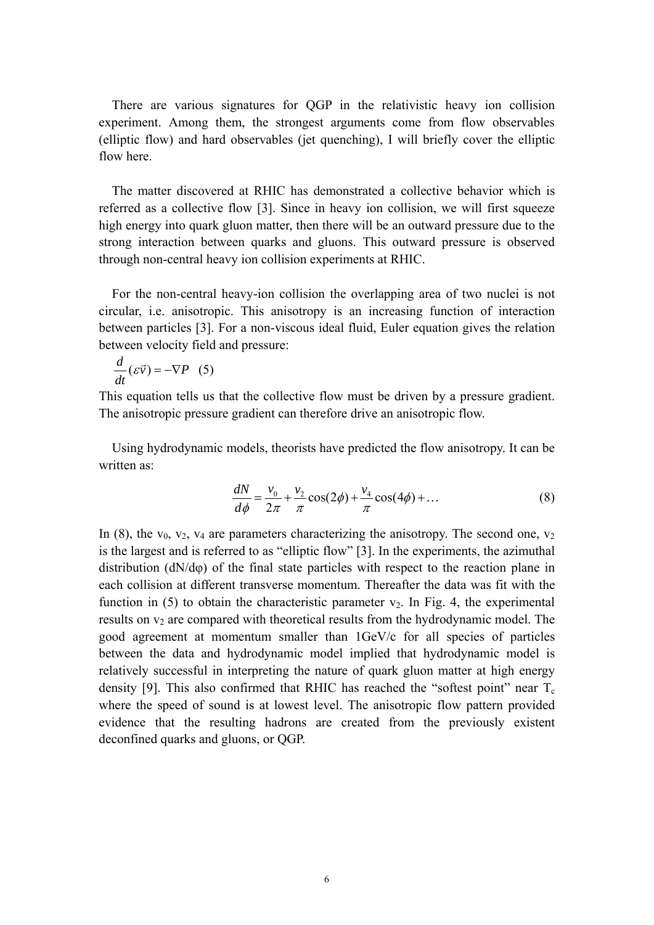There are various signatures for QGP in the relativistic heavy ion collision experiment. Among them, the strongest arguments come from flow observables (elliptic flow) and hard observables (jet quenching), I will briefly cover the elliptic flow here.

The matter discovered at RHIC has demonstrated a collective behavior which is referred as a collective flow [3]. Since in heavy ion collision, we will first squeeze high energy into quark gluon matter, then there will be an outward pressure due to the strong interaction between quarks and gluons. This outward pressure is observed through non-central heavy ion collision experiments at RHIC.

For the non-central heavy-ion collision the overlapping area of two nuclei is not circular, i.e. anisotropic. This anisotropy is an increasing function of interaction between particles [3]. For a non-viscous ideal fluid, Euler equation gives the relation between velocity field and pressure:

$$
\frac{d}{dt}(\varepsilon \vec{v}) = -\nabla P \quad (5)
$$

This equation tells us that the collective flow must be driven by a pressure gradient. The anisotropic pressure gradient can therefore drive an anisotropic flow.

Using hydrodynamic models, theorists have predicted the flow anisotropy. It can be written as:

$$
\frac{dN}{d\phi} = \frac{v_0}{2\pi} + \frac{v_2}{\pi} \cos(2\phi) + \frac{v_4}{\pi} \cos(4\phi) + \dots
$$
 (8)

In (8), the  $v_0$ ,  $v_2$ ,  $v_4$  are parameters characterizing the anisotropy. The second one,  $v_2$ is the largest and is referred to as "elliptic flow" [3]. In the experiments, the azimuthal distribution (dN/dφ) of the final state particles with respect to the reaction plane in each collision at different transverse momentum. Thereafter the data was fit with the function in  $(5)$  to obtain the characteristic parameter  $v_2$ . In Fig. 4, the experimental results on  $v_2$  are compared with theoretical results from the hydrodynamic model. The good agreement at momentum smaller than 1GeV/c for all species of particles between the data and hydrodynamic model implied that hydrodynamic model is relatively successful in interpreting the nature of quark gluon matter at high energy density [9]. This also confirmed that RHIC has reached the "softest point" near  $T_c$ where the speed of sound is at lowest level. The anisotropic flow pattern provided evidence that the resulting hadrons are created from the previously existent deconfined quarks and gluons, or QGP.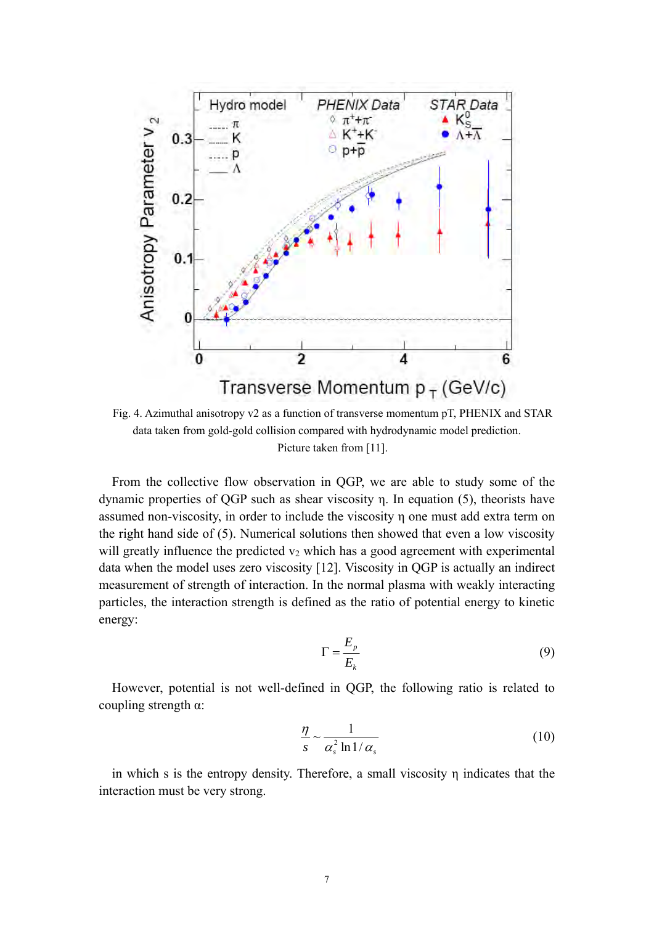

Fig. 4. Azimuthal anisotropy v2 as a function of transverse momentum pT, PHENIX and STAR data taken from gold-gold collision compared with hydrodynamic model prediction. Picture taken from [11].

From the collective flow observation in QGP, we are able to study some of the dynamic properties of QGP such as shear viscosity η. In equation (5), theorists have assumed non-viscosity, in order to include the viscosity η one must add extra term on the right hand side of (5). Numerical solutions then showed that even a low viscosity will greatly influence the predicted  $v_2$  which has a good agreement with experimental data when the model uses zero viscosity [12]. Viscosity in QGP is actually an indirect measurement of strength of interaction. In the normal plasma with weakly interacting particles, the interaction strength is defined as the ratio of potential energy to kinetic energy:

$$
\Gamma = \frac{E_p}{E_k} \tag{9}
$$

However, potential is not well-defined in QGP, the following ratio is related to coupling strength α:

$$
\frac{\eta}{s} \sim \frac{1}{\alpha_s^2 \ln 1/\alpha_s} \tag{10}
$$

in which s is the entropy density. Therefore, a small viscosity η indicates that the interaction must be very strong.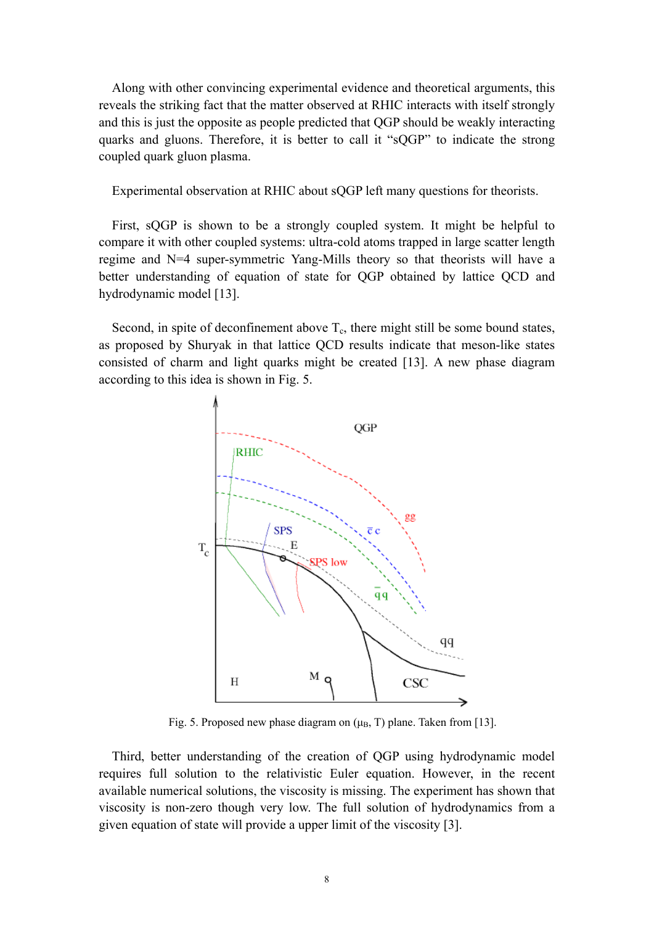Along with other convincing experimental evidence and theoretical arguments, this reveals the striking fact that the matter observed at RHIC interacts with itself strongly and this is just the opposite as people predicted that QGP should be weakly interacting quarks and gluons. Therefore, it is better to call it "sQGP" to indicate the strong coupled quark gluon plasma.

Experimental observation at RHIC about sQGP left many questions for theorists.

First, sQGP is shown to be a strongly coupled system. It might be helpful to compare it with other coupled systems: ultra-cold atoms trapped in large scatter length regime and N=4 super-symmetric Yang-Mills theory so that theorists will have a better understanding of equation of state for QGP obtained by lattice QCD and hydrodynamic model [13].

Second, in spite of deconfinement above  $T_c$ , there might still be some bound states, as proposed by Shuryak in that lattice QCD results indicate that meson-like states consisted of charm and light quarks might be created [13]. A new phase diagram according to this idea is shown in Fig. 5.



Fig. 5. Proposed new phase diagram on  $(\mu_B, T)$  plane. Taken from [13].

Third, better understanding of the creation of QGP using hydrodynamic model requires full solution to the relativistic Euler equation. However, in the recent available numerical solutions, the viscosity is missing. The experiment has shown that viscosity is non-zero though very low. The full solution of hydrodynamics from a given equation of state will provide a upper limit of the viscosity [3].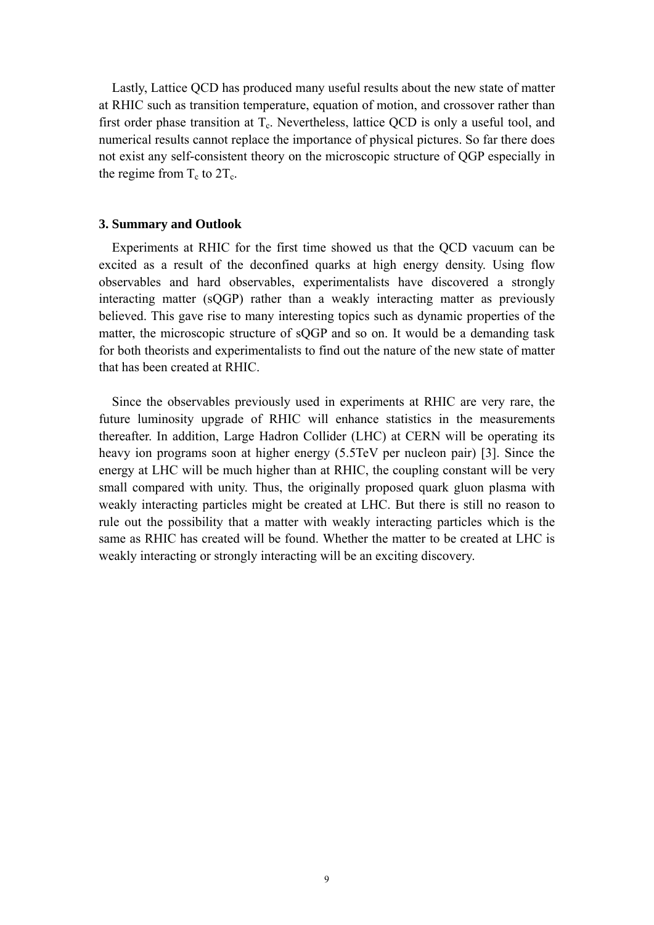Lastly, Lattice QCD has produced many useful results about the new state of matter at RHIC such as transition temperature, equation of motion, and crossover rather than first order phase transition at  $T_c$ . Nevertheless, lattice QCD is only a useful tool, and numerical results cannot replace the importance of physical pictures. So far there does not exist any self-consistent theory on the microscopic structure of QGP especially in the regime from  $T_c$  to  $2T_c$ .

#### **3. Summary and Outlook**

Experiments at RHIC for the first time showed us that the QCD vacuum can be excited as a result of the deconfined quarks at high energy density. Using flow observables and hard observables, experimentalists have discovered a strongly interacting matter (sQGP) rather than a weakly interacting matter as previously believed. This gave rise to many interesting topics such as dynamic properties of the matter, the microscopic structure of sQGP and so on. It would be a demanding task for both theorists and experimentalists to find out the nature of the new state of matter that has been created at RHIC.

Since the observables previously used in experiments at RHIC are very rare, the future luminosity upgrade of RHIC will enhance statistics in the measurements thereafter. In addition, Large Hadron Collider (LHC) at CERN will be operating its heavy ion programs soon at higher energy (5.5TeV per nucleon pair) [3]. Since the energy at LHC will be much higher than at RHIC, the coupling constant will be very small compared with unity. Thus, the originally proposed quark gluon plasma with weakly interacting particles might be created at LHC. But there is still no reason to rule out the possibility that a matter with weakly interacting particles which is the same as RHIC has created will be found. Whether the matter to be created at LHC is weakly interacting or strongly interacting will be an exciting discovery.